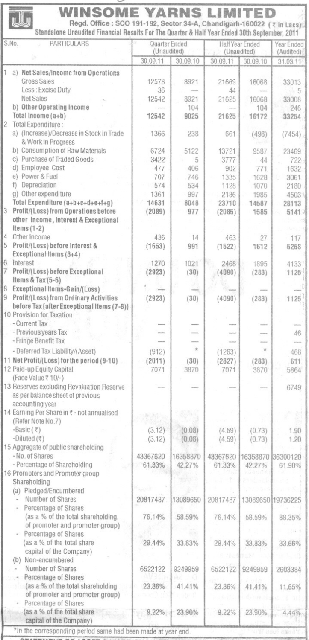| S.No.<br><b>PARTICULARS</b>                                             | Quarter Ended<br>(Unaudited) |                | Half Year Ended<br>(Unaudited) |                                   | Year Ended<br>(Audited)  |
|-------------------------------------------------------------------------|------------------------------|----------------|--------------------------------|-----------------------------------|--------------------------|
|                                                                         | 30.09.11                     | 30.09.10       | 30.09.11                       | 30.09.10                          | 31.03.11                 |
| $\mathbb{1}$                                                            |                              |                |                                |                                   |                          |
| a) Net Sales/Income from Operations<br>Gross Sales                      | 12578                        |                |                                |                                   |                          |
| Less : Excise Duty                                                      | 36                           | 8921           | 21669<br>44                    | 16068                             | 33013                    |
| Net Sales                                                               | 12542                        | 8921           |                                |                                   | $\frac{5}{2}$            |
| b) Other Operating Income                                               |                              | 104            | 21625                          | 16068                             | 33008                    |
| Total Income (a+b)                                                      | 12542                        | 9025           | 21625                          | 104<br>16172                      | 246                      |
| 2 Total Expenditure:                                                    |                              |                |                                |                                   | 33254                    |
| a) (Increase)/Decrease in Stock in Trade                                | 1366                         | 238            |                                |                                   |                          |
| & Work in Progress                                                      |                              |                | 661                            | (498)                             | (7454)                   |
| b) Consumption of Raw Materials                                         | 6724                         | 5122           | 13721                          | 9587                              | 23469                    |
| c) Purchase of Traded Goods                                             | 3422                         | 5              | 3777                           | 44                                |                          |
| d) Employee Cost                                                        | 477                          | 406            | 902                            | 771                               | 722 <sub>1</sub><br>1632 |
| e) Power & Fuel                                                         | 707                          | 746            | 1335                           | 1628                              | 3061                     |
| f) Depreciation                                                         | 574                          | 534            | 1128                           | 1070                              |                          |
| g) Other expenditure                                                    | 1361                         | 997            | 2186                           | 1985                              | 2180                     |
| Total Expenditure (a+b+c+d+e+f+g)                                       | 14631                        | 8048           | 23710                          | 14587                             | 4503                     |
| 3 Profit/(Loss) from Operations before                                  | (2089)                       |                |                                |                                   | 28113                    |
| other Income, Interest & Exceptional                                    |                              | 977            | (2085)                         | 1585                              | 5141                     |
| Items $(1-2)$                                                           |                              |                |                                |                                   |                          |
| 4 Other Income                                                          | 436                          | 14             | 463                            |                                   |                          |
| 5<br>Profit/(Loss) before Interest &                                    |                              |                |                                | 27                                | 117                      |
| Exceptional Items (3+4)                                                 | (1653)                       | 991            | (1622)                         | 1612                              | 5258                     |
| 6 Interest                                                              |                              |                |                                |                                   |                          |
| 7<br>Profit/(Loss) before Exceptional                                   | 1270                         | 1021           | 2468                           | 1895                              | 4133                     |
| Items & Tax (5-6)                                                       | (2923)                       | (30)           | (4090)                         | (283)                             | 1125                     |
| 8<br>Exceptional Items-Gain/(Loss)                                      |                              |                |                                |                                   |                          |
| 9 Profit/(Loss) from Ordinary Activities                                |                              |                |                                |                                   |                          |
|                                                                         | (2923)                       | (30)           | (4090)                         | (283)                             | 1125                     |
| before Tax (after Exceptional Items (7-8))<br>10 Provision for Taxation |                              |                |                                |                                   |                          |
| - Current Tax                                                           |                              |                |                                |                                   |                          |
| - Previous years Tax                                                    |                              |                |                                |                                   |                          |
| - Fringe Benefit Tax                                                    |                              |                |                                |                                   | 46                       |
|                                                                         |                              | $\frac{1}{2C}$ |                                | $\frac{d\mathbf{r}}{d\mathbf{r}}$ |                          |
| - Deferred Tax Liability/(Asset)                                        | (912)                        |                | (1263)                         |                                   | 468                      |
| 11 Net Profit/(Loss) for the period (9-10)                              | (2011)                       | (30)           | (2827)                         | (283)                             | 611                      |
| 12 Paid-up Equity Capital                                               | 7071                         | 3870           | 7071                           | 3870                              | 5864                     |
| (Face Value ₹ 10/-)                                                     |                              |                |                                |                                   |                          |
| 13 Reserves excluding Revaluation Reserve                               |                              |                |                                |                                   | 6749                     |
| as per balance sheet of previous                                        |                              |                |                                |                                   |                          |
| accounting year                                                         |                              |                |                                |                                   |                          |
| 14 Earning Per Share in ₹ - not annualised                              |                              |                |                                |                                   |                          |
| (Refer Note No.7)                                                       |                              |                |                                |                                   |                          |
| -Basic $(\bar{z})$                                                      | (3.12)                       | (0.08)         | (4.59)                         | (0.73)                            | 1.90                     |
| -Diluted $(\overline{\tau})$                                            | (3.12)                       | (0.08)         | (4.59)                         | (0.73)                            | 1.20                     |
| 15 Aggregate of public shareholding                                     |                              |                |                                |                                   |                          |
| - No. of Shares                                                         | 43367620                     | 16358870       | 43367620                       | 16358870 36300120                 |                          |
| - Percentage of Shareholding                                            | 61.33%                       | 42.27%         | 61.33%                         | 42.27%                            | 61.90%                   |
| 16 Promoters and Promoter group                                         |                              |                |                                |                                   |                          |
| Shareholding                                                            |                              |                |                                |                                   |                          |
| (a) Pledged/Encumbered                                                  |                              |                |                                |                                   |                          |
| Number of Shares                                                        | 20817487                     | 13089650       | 20817487                       |                                   | 13089650 19736225        |
| Percentage of Shares                                                    |                              |                |                                |                                   |                          |
| (as a % of the total shareholding.                                      | 76.14%                       | 58.59%         | 76.14%                         | 58.59%                            | 88.35%                   |
| of promoter and promoter group)                                         |                              |                |                                |                                   |                          |
| Percentage of Shares                                                    |                              |                |                                |                                   |                          |
| (as a % of the total share                                              | 29.44%                       | 33.83%         | 29.44%                         | 33.83%                            | 33.66%                   |
| capital of the Company)                                                 |                              |                |                                |                                   |                          |
| (b) Non-encumbered                                                      |                              |                |                                |                                   |                          |
| Number of Shares                                                        | 6522122                      | 9249959        | 6522122                        | 9249959                           | 2603384                  |
| Percentage of Shares                                                    |                              |                |                                |                                   |                          |
| (as a % of the total shareholding                                       | 23.86%                       | 41.41%         | 23.86%                         | 41.41%                            | 11.65%                   |
| of promoter and promoter group)                                         |                              |                |                                |                                   |                          |
| Percentage of Shares                                                    |                              |                |                                |                                   |                          |
| (as a % of the total share                                              | 9.22%                        | 23.90%         | 9.22%                          | 23.90%                            | .44%                     |
| capital of the Company)                                                 |                              |                |                                |                                   |                          |

-

≂

\*In the corresponding period same had been made at year end.

J